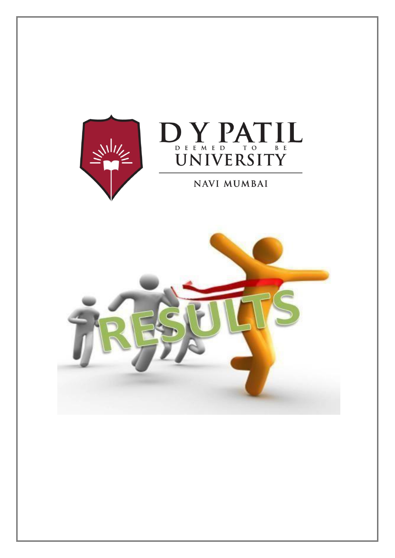



NAVI MUMBAI

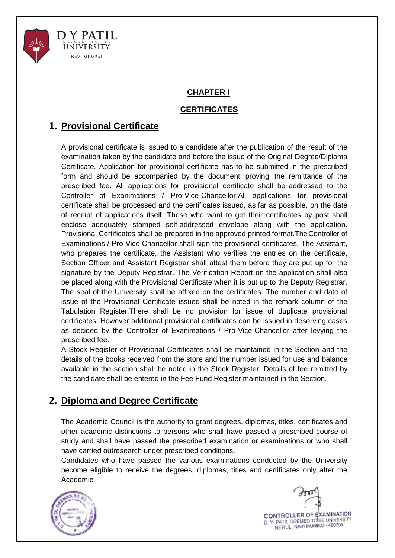

### **CHAPTER I**

### **CERTIFICATES**

# **1. Provisional Certificate**

A provisional certificate is issued to a candidate after the publication of the result of the examination taken by the candidate and before the issue of the Original Degree/Diploma Certificate. Application for provisional certificate has to be submitted in the prescribed form and should be accompanied by the document proving the remittance of the prescribed fee. All applications for provisional certificate shall be addressed to the Controller of Exanimations / Pro-Vice-Chancellor.All applications for provisional certificate shall be processed and the certificates issued, as far as possible, on the date of receipt of applications itself. Those who want to get their certificates by post shall enclose adequately stamped self-addressed envelope along with the application. Provisional Certificates shall be prepared in the approved printed format.The Controller of Examinations / Pro-Vice-Chancellor shall sign the provisional certificates. The Assistant, who prepares the certificate, the Assistant who verifies the entries on the certificate, Section Officer and Assistant Registrar shall attest them before they are put up for the signature by the Deputy Registrar. The Verification Report on the application shall also be placed along with the Provisional Certificate when it is put up to the Deputy Registrar. The seal of the University shall be affixed on the certificates. The number and date of issue of the Provisional Certificate issued shall be noted in the remark column of the Tabulation Register.There shall be no provision for issue of duplicate provisional certificates. However additional provisional certificates can be issued in deserving cases as decided by the Controller of Exanimations / Pro-Vice-Chancellor after levying the prescribed fee.

A Stock Register of Provisional Certificates shall be maintained in the Section and the details of the books received from the store and the number issued for use and balance available in the section shall be noted in the Stock Register. Details of fee remitted by the candidate shall be entered in the Fee Fund Register maintained in the Section.

# **2. Diploma and Degree Certificate**

The Academic Council is the authority to grant degrees, diplomas, titles, certificates and other academic distinctions to persons who shall have passed a prescribed course of study and shall have passed the prescribed examination or examinations or who shall have carried outresearch under prescribed conditions.

Candidates who have passed the various examinations conducted by the University become eligible to receive the degrees, diplomas, titles and certificates only after the Academic



CONTROLLER OF EXAMINATION D. Y. PATIL DEEMED TO BE UNIVERSITY NERUL, NAVI MUMBAI - 400706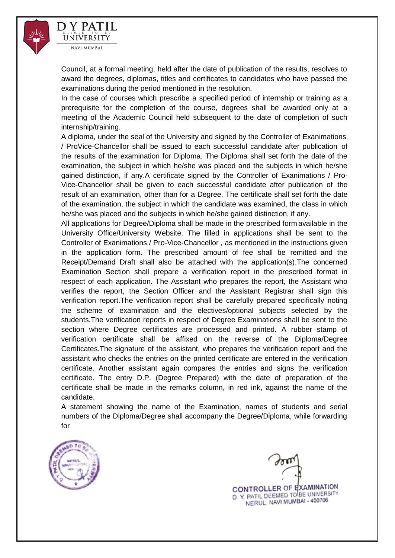

D Y PATIL UNIVERSITY **NAVI MUMBAI** 

Council, at a formal meeting, held after the date of publication of the results, resolves to award the degrees, diplomas, titles and certificates to candidates who have passed the examinations during the period mentioned in the resolution.

In the case of courses which prescribe a specified period of internship or training as a prerequisite for the completion of the course, degrees shall be awarded only at a meeting of the Academic Council held subsequent to the date of completion of such internship/training.

A diploma, under the seal of the University and signed by the Controller of Exanimations / ProVice-Chancellor shall be issued to each successful candidate after publication of the results of the examination for Diploma. The Diploma shall set forth the date of the examination, the subject in which he/she was placed and the subjects in which he/she gained distinction, if any.A certificate signed by the Controller of Exanimations / Pro-Vice-Chancellor shall be given to each successful candidate after publication of the result of an examination, other than for a Degree. The certificate shall set forth the date of the examination, the subject in which the candidate was examined, the class in which he/she was placed and the subjects in which he/she gained distinction, if any.

All applications for Degree/Diploma shall be made in the prescribed form available in the University Office/University Website. The filled in applications shall be sent to the Controller of Exanimations / Pro-Vice-Chancellor , as mentioned in the instructions given in the application form. The prescribed amount of fee shall be remitted and the Receipt/Demand Draft shall also be attached with the application(s).The concerned Examination Section shall prepare a verification report in the prescribed format in respect of each application. The Assistant who prepares the report, the Assistant who verifies the report, the Section Officer and the Assistant Registrar shall sign this verification report.The verification report shall be carefully prepared specifically noting the scheme of examination and the electives/optional subjects selected by the students.The verification reports in respect of Degree Examinations shall be sent to the section where Degree certificates are processed and printed. A rubber stamp of verification certificate shall be affixed on the reverse of the Diploma/Degree Certificates.The signature of the assistant, who prepares the verification report and the assistant who checks the entries on the printed certificate are entered in the verification certificate. Another assistant again compares the entries and signs the verification certificate. The entry D.P. (Degree Prepared) with the date of preparation of the certificate shall be made in the remarks column, in red ink, against the name of the candidate.

A statement showing the name of the Examination, names of students and serial numbers of the Diploma/Degree shall accompany the Degree/Diploma, while forwarding for



CONTROLLER OF EXAMINATION D. Y. PATIL DEEMED TO BE UNIVERSITY NERUL, NAVI MUMBAI - 400706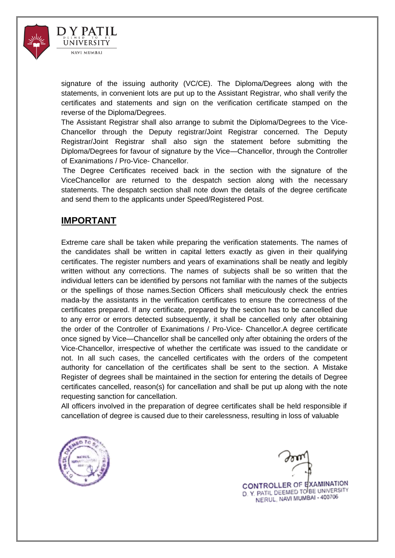

signature of the issuing authority (VC/CE). The Diploma/Degrees along with the statements, in convenient lots are put up to the Assistant Registrar, who shall verify the certificates and statements and sign on the verification certificate stamped on the reverse of the Diploma/Degrees.

The Assistant Registrar shall also arrange to submit the Diploma/Degrees to the Vice-Chancellor through the Deputy registrar/Joint Registrar concerned. The Deputy Registrar/Joint Registrar shall also sign the statement before submitting the Diploma/Degrees for favour of signature by the Vice—Chancellor, through the Controller of Exanimations / Pro-Vice- Chancellor.

The Degree Certificates received back in the section with the signature of the ViceChancellor are returned to the despatch section along with the necessary statements. The despatch section shall note down the details of the degree certificate and send them to the applicants under Speed/Registered Post.

## **IMPORTANT**

NAVI MUMBAI

Extreme care shall be taken while preparing the verification statements. The names of the candidates shall be written in capital letters exactly as given in their qualifying certificates. The register numbers and years of examinations shall be neatly and legibly written without any corrections. The names of subjects shall be so written that the individual letters can be identified by persons not familiar with the names of the subjects or the spellings of those names.Section Officers shall meticulously check the entries mada-by the assistants in the verification certificates to ensure the correctness of the certificates prepared. If any certificate, prepared by the section has to be cancelled due to any error or errors detected subsequently, it shall be cancelled only after obtaining the order of the Controller of Exanimations / Pro-Vice- Chancellor.A degree certificate once signed by Vice—Chancellor shall be cancelled only after obtaining the orders of the Vice-Chancellor, irrespective of whether the certificate was issued to the candidate or not. In all such cases, the cancelled certificates with the orders of the competent authority for cancellation of the certificates shall be sent to the section. A Mistake Register of degrees shall be maintained in the section for entering the details of Degree certificates cancelled, reason(s) for cancellation and shall be put up along with the note requesting sanction for cancellation.

All officers involved in the preparation of degree certificates shall be held responsible if cancellation of degree is caused due to their carelessness, resulting in loss of valuable



CONTROLLER OF EXAMINATION D. Y. PATIL DEEMED TO BE UNIVERSITY NERUL, NAVI MUMBAI - 400706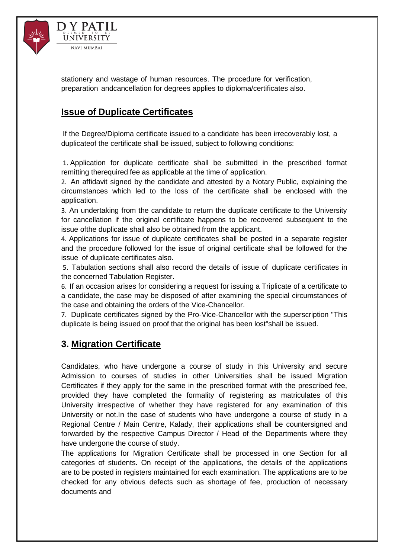

D Y PATIL **UNIVERSITY NAVI MUMBAI** 

stationery and wastage of human resources. The procedure for verification, preparation andcancellation for degrees applies to diploma/certificates also.

# **Issue of Duplicate Certificates**

If the Degree/Diploma certificate issued to a candidate has been irrecoverably lost, a duplicateof the certificate shall be issued, subject to following conditions:

1. Application for duplicate certificate shall be submitted in the prescribed format remitting therequired fee as applicable at the time of application.

2. An affidavit signed by the candidate and attested by a Notary Public, explaining the circumstances which led to the loss of the certificate shall be enclosed with the application.

3. An undertaking from the candidate to return the duplicate certificate to the University for cancellation if the original certificate happens to be recovered subsequent to the issue ofthe duplicate shall also be obtained from the applicant.

4. Applications for issue of duplicate certificates shall be posted in a separate register and the procedure followed for the issue of original certificate shall be followed for the issue of duplicate certificates also.

5. Tabulation sections shall also record the details of issue of duplicate certificates in the concerned Tabulation Register.

6. If an occasion arises for considering a request for issuing a Triplicate of a certificate to a candidate, the case may be disposed of after examining the special circumstances of the case and obtaining the orders of the Vice-Chancellor.

7. Duplicate certificates signed by the Pro-Vice-Chancellor with the superscription "This duplicate is being issued on proof that the original has been lost"shall be issued.

## **3. Migration Certificate**

Candidates, who have undergone a course of study in this University and secure Admission to courses of studies in other Universities shall be issued Migration Certificates if they apply for the same in the prescribed format with the prescribed fee, provided they have completed the formality of registering as matriculates of this University irrespective of whether they have registered for any examination of this University or not.In the case of students who have undergone a course of study in a Regional Centre / Main Centre, Kalady, their applications shall be countersigned and forwarded by the respective Campus Director / Head of the Departments where they have undergone the course of study.

The applications for Migration Certificate shall be processed in one Section for all categories of students. On receipt of the applications, the details of the applications are to be posted in registers maintained for each examination. The applications are to be checked for any obvious defects such as shortage of fee, production of necessary documents and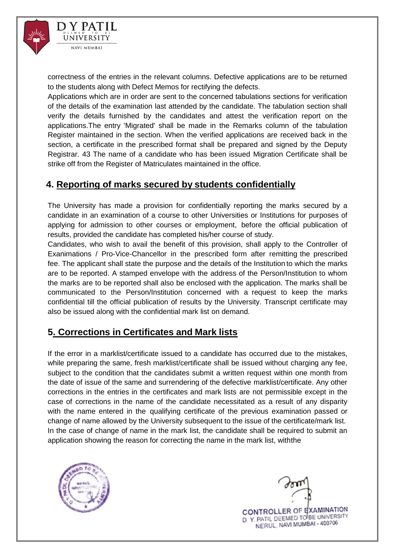

correctness of the entries in the relevant columns. Defective applications are to be returned to the students along with Defect Memos for rectifying the defects.

Applications which are in order are sent to the concerned tabulations sections for verification of the details of the examination last attended by the candidate. The tabulation section shall verify the details furnished by the candidates and attest the verification report on the applications.The entry 'Migrated' shall be made in the Remarks column of the tabulation Register maintained in the section. When the verified applications are received back in the section, a certificate in the prescribed format shall be prepared and signed by the Deputy Registrar. 43 The name of a candidate who has been issued Migration Certificate shall be strike off from the Register of Matriculates maintained in the office.

# **4. Reporting of marks secured by students confidentially**

The University has made a provision for confidentially reporting the marks secured by a candidate in an examination of a course to other Universities or Institutions for purposes of applying for admission to other courses or employment, before the official publication of results, provided the candidate has completed his/her course of study.

Candidates, who wish to avail the benefit of this provision, shall apply to the Controller of Exanimations / Pro-Vice-Chancellor in the prescribed form after remitting the prescribed fee. The applicant shall state the purpose and the details of the Institution to which the marks are to be reported. A stamped envelope with the address of the Person/Institution to whom the marks are to be reported shall also be enclosed with the application. The marks shall be communicated to the Person/Institution concerned with a request to keep the marks confidential till the official publication of results by the University. Transcript certificate may also be issued along with the confidential mark list on demand.

# **5. Corrections in Certificates and Mark lists**

If the error in a marklist/certificate issued to a candidate has occurred due to the mistakes, while preparing the same, fresh marklist/certificate shall be issued without charging any fee, subject to the condition that the candidates submit a written request within one month from the date of issue of the same and surrendering of the defective marklist/certificate. Any other corrections in the entries in the certificates and mark lists are not permissible except in the case of corrections in the name of the candidate necessitated as a result of any disparity with the name entered in the qualifying certificate of the previous examination passed or change of name allowed by the University subsequent to the issue of the certificate/mark list. In the case of change of name in the mark list, the candidate shall be required to submit an application showing the reason for correcting the name in the mark list, withthe

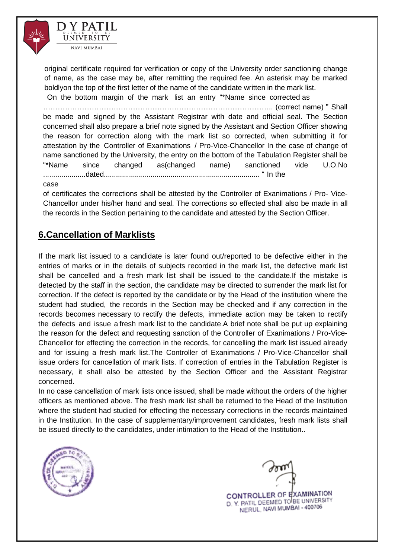

original certificate required for verification or copy of the University order sanctioning change of name, as the case may be, after remitting the required fee. An asterisk may be marked boldlyon the top of the first letter of the name of the candidate written in the mark list.

 On the bottom margin of the mark list an entry "\*Name since corrected as ………………………………………………………………………………….. (correct name) " Shall be made and signed by the Assistant Registrar with date and official seal. The Section concerned shall also prepare a brief note signed by the Assistant and Section Officer showing the reason for correction along with the mark list so corrected, when submitting it for attestation by the Controller of Exanimations / Pro-Vice-Chancellor In the case of change of name sanctioned by the University, the entry on the bottom of the Tabulation Register shall be "\*Name since changed as(changed name) sanctioned vide U.O.No .....................dated............................................................................. " In the

#### case

of certificates the corrections shall be attested by the Controller of Exanimations / Pro- Vice-Chancellor under his/her hand and seal. The corrections so effected shall also be made in all the records in the Section pertaining to the candidate and attested by the Section Officer.

## **6.Cancellation of Marklists**

If the mark list issued to a candidate is later found out/reported to be defective either in the entries of marks or in the details of subjects recorded in the mark list, the defective mark list shall be cancelled and a fresh mark list shall be issued to the candidate.If the mistake is detected by the staff in the section, the candidate may be directed to surrender the mark list for correction. If the defect is reported by the candidate or by the Head of the institution where the student had studied, the records in the Section may be checked and if any correction in the records becomes necessary to rectify the defects, immediate action may be taken to rectify the defects and issue a fresh mark list to the candidate.A brief note shall be put up explaining the reason for the defect and requesting sanction of the Controller of Exanimations / Pro-Vice-Chancellor for effecting the correction in the records, for cancelling the mark list issued already and for issuing a fresh mark list.The Controller of Exanimations / Pro-Vice-Chancellor shall issue orders for cancellation of mark lists. If correction of entries in the Tabulation Register is necessary, it shall also be attested by the Section Officer and the Assistant Registrar concerned.

In no case cancellation of mark lists once issued, shall be made without the orders of the higher officers as mentioned above. The fresh mark list shall be returned to the Head of the Institution where the student had studied for effecting the necessary corrections in the records maintained in the Institution. In the case of supplementary/improvement candidates, fresh mark lists shall be issued directly to the candidates, under intimation to the Head of the Institution..

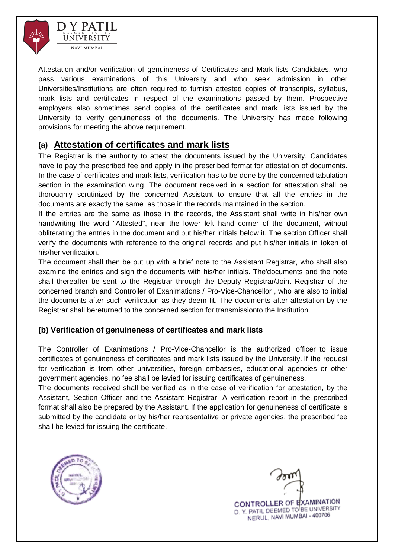



Attestation and/or verification of genuineness of Certificates and Mark lists Candidates, who pass various examinations of this University and who seek admission in other Universities/Institutions are often required to furnish attested copies of transcripts, syllabus, mark lists and certificates in respect of the examinations passed by them. Prospective employers also sometimes send copies of the certificates and mark lists issued by the University to verify genuineness of the documents. The University has made following provisions for meeting the above requirement.

## **(a) Attestation of certificates and mark lists**

The Registrar is the authority to attest the documents issued by the University. Candidates have to pay the prescribed fee and apply in the prescribed format for attestation of documents. In the case of certificates and mark lists, verification has to be done by the concerned tabulation section in the examination wing. The document received in a section for attestation shall be thoroughly scrutinized by the concerned Assistant to ensure that all the entries in the documents are exactly the same as those in the records maintained in the section.

If the entries are the same as those in the records, the Assistant shall write in his/her own handwriting the word "Attested", near the lower left hand corner of the document, without obliterating the entries in the document and put his/her initials below it. The section Officer shall verify the documents with reference to the original records and put his/her initials in token of his/her verification.

The document shall then be put up with a brief note to the Assistant Registrar, who shall also examine the entries and sign the documents with his/her initials. The'documents and the note shall thereafter be sent to the Registrar through the Deputy Registrar/Joint Registrar of the concerned branch and Controller of Exanimations / Pro-Vice-Chancellor , who are also to initial the documents after such verification as they deem fit. The documents after attestation by the Registrar shall bereturned to the concerned section for transmissionto the Institution.

### **(b) Verification of genuineness of certificates and mark lists**

The Controller of Exanimations / Pro-Vice-Chancellor is the authorized officer to issue certificates of genuineness of certificates and mark lists issued by the University. If the request for verification is from other universities, foreign embassies, educational agencies or other government agencies, no fee shall be levied for issuing certificates of genuineness.

The documents received shall be verified as in the case of verification for attestation, by the Assistant, Section Officer and the Assistant Registrar. A verification report in the prescribed format shall also be prepared by the Assistant. If the application for genuineness of certificate is submitted by the candidate or by his/her representative or private agencies, the prescribed fee shall be levied for issuing the certificate.



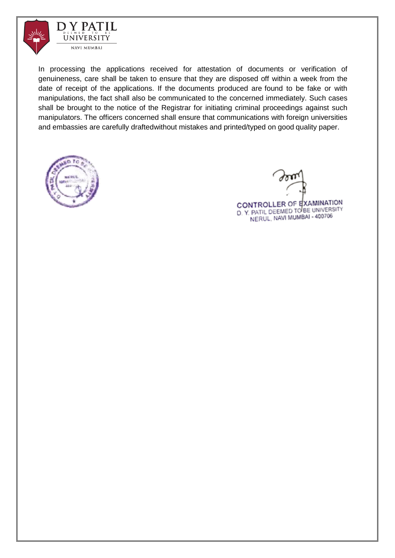



In processing the applications received for attestation of documents or verification of genuineness, care shall be taken to ensure that they are disposed off within a week from the date of receipt of the applications. If the documents produced are found to be fake or with manipulations, the fact shall also be communicated to the concerned immediately. Such cases shall be brought to the notice of the Registrar for initiating criminal proceedings against such manipulators. The officers concerned shall ensure that communications with foreign universities and embassies are carefully draftedwithout mistakes and printed/typed on good quality paper.



CONTROLLER OF EXAMINATION D. Y. PATIL DEEMED TO BE UNIVERSITY NERUL, NAVI MUMBAI - 400706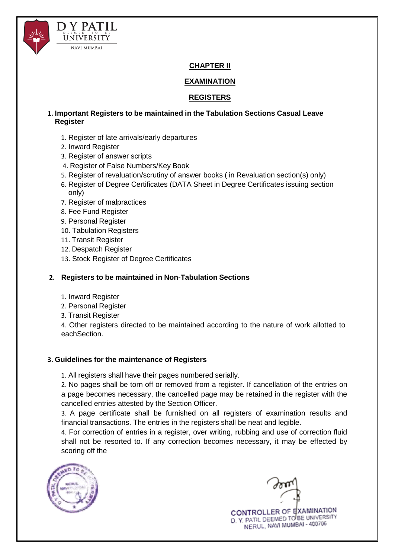



### **CHAPTER II**

#### **EXAMINATION**

#### **REGISTERS**

#### **1. Important Registers to be maintained in the Tabulation Sections Casual Leave Register**

- 1. Register of late arrivals/early departures
- 2. Inward Register
- 3. Register of answer scripts
- 4. Register of False Numbers/Key Book
- 5. Register of revaluation/scrutiny of answer books ( in Revaluation section(s) only)
- 6. Register of Degree Certificates (DATA Sheet in Degree Certificates issuing section only)
- 7. Register of malpractices
- 8. Fee Fund Register
- 9. Personal Register
- 10. Tabulation Registers
- 11. Transit Register
- 12. Despatch Register
- 13. Stock Register of Degree Certificates

#### **2. Registers to be maintained in Non-Tabulation Sections**

- 1. Inward Register
- 2. Personal Register
- 3. Transit Register

4. Other registers directed to be maintained according to the nature of work allotted to eachSection.

#### **3. Guidelines for the maintenance of Registers**

1. All registers shall have their pages numbered serially.

2. No pages shall be torn off or removed from a register. If cancellation of the entries on a page becomes necessary, the cancelled page may be retained in the register with the cancelled entries attested by the Section Officer.

3. A page certificate shall be furnished on all registers of examination results and financial transactions. The entries in the registers shall be neat and legible.

4. For correction of entries in a register, over writing, rubbing and use of correction fluid shall not be resorted to. If any correction becomes necessary, it may be effected by scoring off the